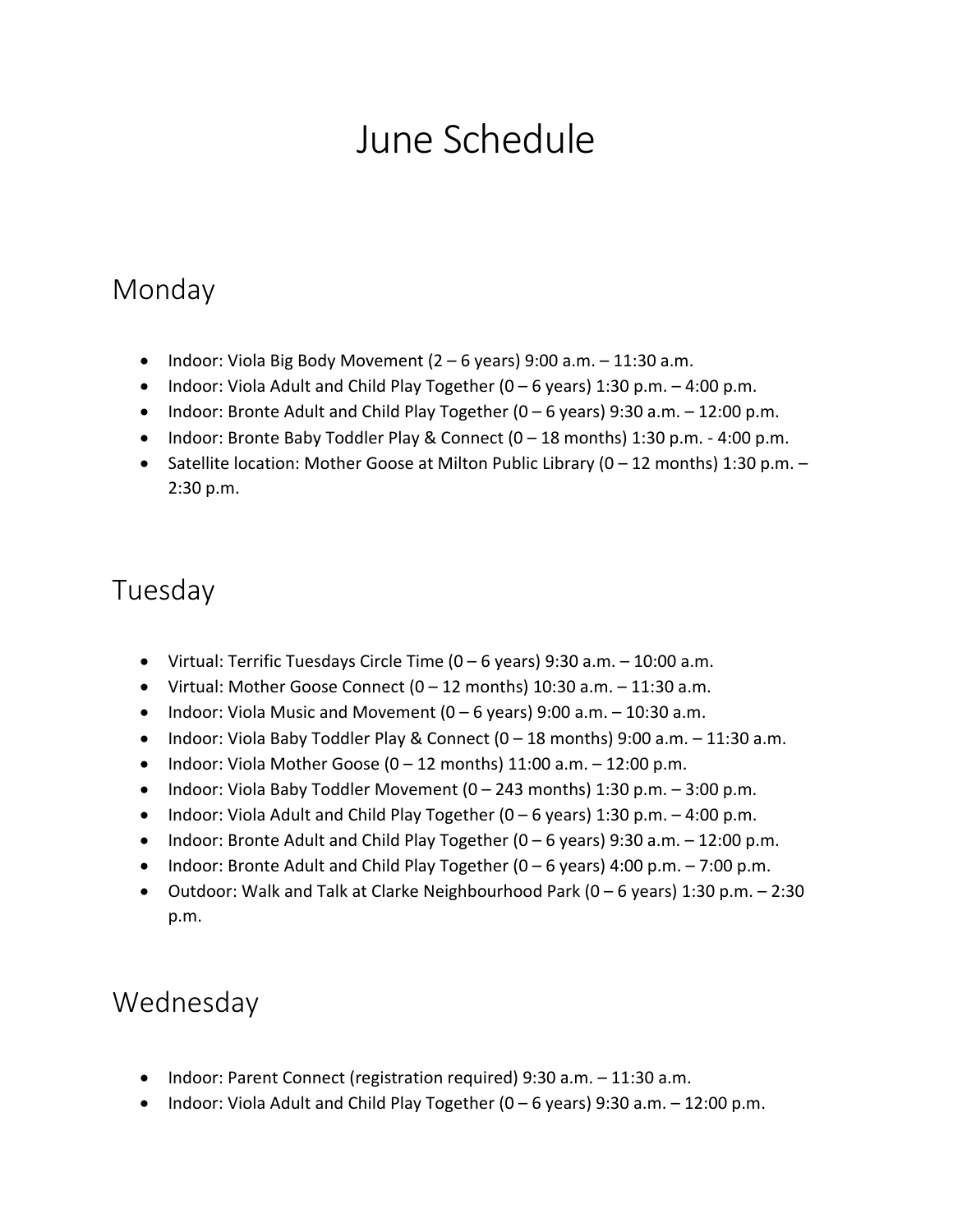# June Schedule

#### Monday

- Indoor: Viola Big Body Movement  $(2 6$  years) 9:00 a.m.  $11:30$  a.m.
- Indoor: Viola Adult and Child Play Together  $(0 6$  years) 1:30 p.m.  $-4:00$  p.m.
- Indoor: Bronte Adult and Child Play Together  $(0 6$  years) 9:30 a.m.  $12:00$  p.m.
- Indoor: Bronte Baby Toddler Play & Connect (0 18 months) 1:30 p.m. 4:00 p.m.
- • Satellite location: Mother Goose at Milton Public Library (0 12 months) 1:30 p.m. 2:30 p.m.

#### Tuesday

- Virtual: Terrific Tuesdays Circle Time  $(0 6$  years) 9:30 a.m.  $10:00$  a.m.
- Virtual: Mother Goose Connect  $(0 12 \text{ months}) 10:30 \text{ a.m.} 11:30 \text{ a.m.}$
- Indoor: Viola Music and Movement  $(0 6$  years) 9:00 a.m.  $10:30$  a.m.
- Indoor: Viola Baby Toddler Play & Connect  $(0 18 \text{ months})$  9:00 a.m.  $-11:30$  a.m.
- Indoor: Viola Mother Goose  $(0 12 \text{ months}) 11:00 \text{ a.m.} 12:00 \text{ p.m.}$
- Indoor: Viola Baby Toddler Movement  $(0 243$  months) 1:30 p.m.  $-3:00$  p.m.
- Indoor: Viola Adult and Child Play Together  $(0 6$  years) 1:30 p.m.  $-4:00$  p.m.
- Indoor: Bronte Adult and Child Play Together  $(0 6$  years) 9:30 a.m.  $-12:00$  p.m.
- Indoor: Bronte Adult and Child Play Together  $(0 6$  years) 4:00 p.m.  $7:00$  p.m.
- • Outdoor: Walk and Talk at Clarke Neighbourhood Park (0 6 years) 1:30 p.m. 2:30 p.m.

#### Wednesday

- Indoor: Parent Connect (registration required) 9:30 a.m. 11:30 a.m.
- Indoor: Viola Adult and Child Play Together (0 6 years) 9:30 a.m. 12:00 p.m.